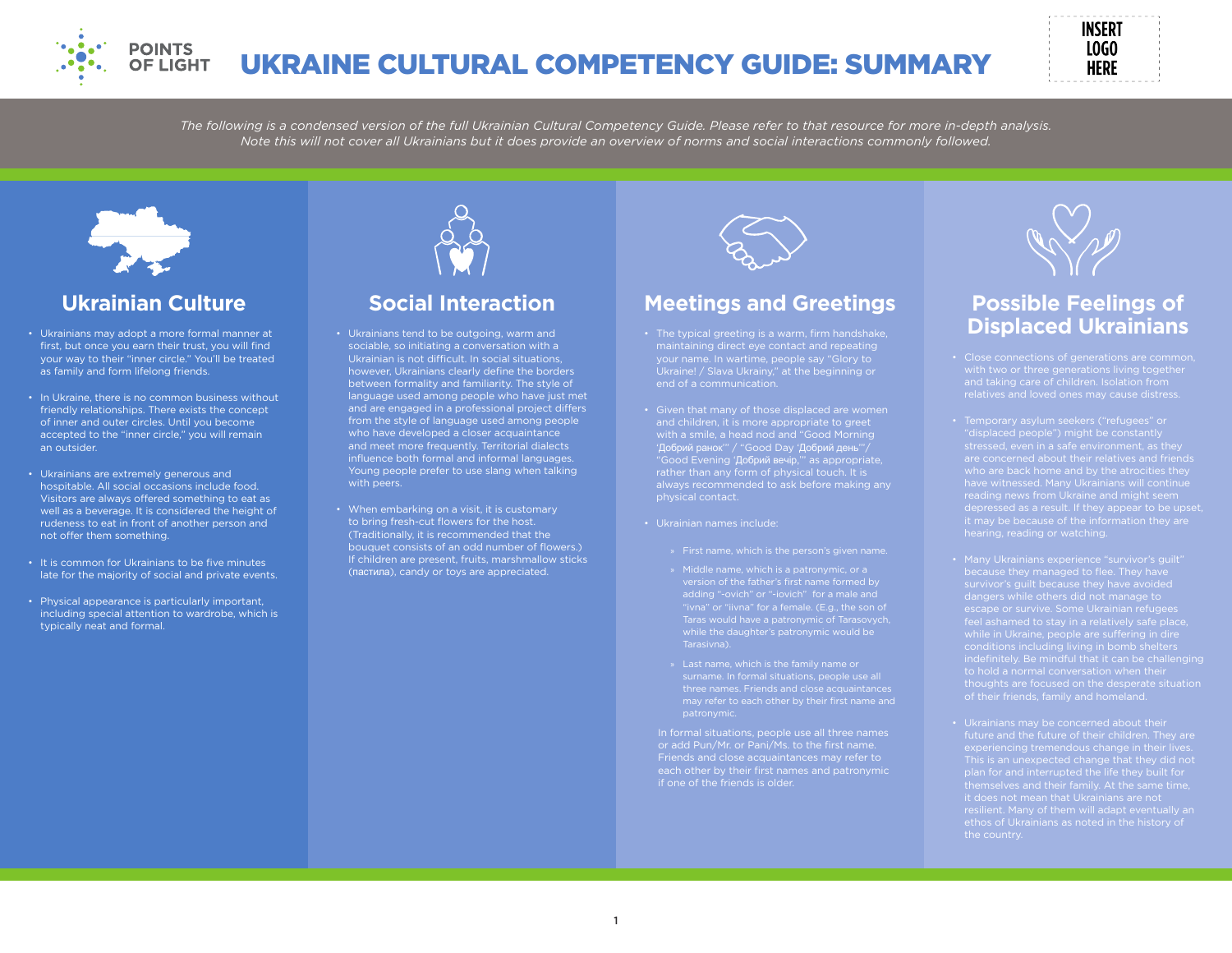

**INSERT** LOGO **HERE** 

*The following is a condensed version of the full Ukrainian Cultural Competency Guide. Please refer to that resource for more in-depth analysis. Note this will not cover all Ukrainians but it does provide an overview of norms and social interactions commonly followed.* 



## **Ukrainian Culture**

- Ukrainians may adopt a more formal manner at first, but once you earn their trust, you will find your way to their "inner circle." You'll be treated as family and form lifelong friends.
- In Ukraine, there is no common business without friendly relationships. There exists the concept of inner and outer circles. Until you become accepted to the "inner circle," you will remain an outsider.
- Ukrainians are extremely generous and hospitable. All social occasions include food. Visitors are always offered something to eat as well as a beverage. It is considered the height of rudeness to eat in front of another person and not offer them something.
- It is common for Ukrainians to be five minutes late for the majority of social and private events.
- Physical appearance is particularly important, including special attention to wardrobe, which is typically neat and formal.



### **Social Interaction**

- Ukrainians tend to be outgoing, warm and sociable, so initiating a conversation with a Ukrainian is not difficult. In social situations, however, Ukrainians clearly define the borders between formality and familiarity. The style of language used among people who have just met and are engaged in a professional project differs from the style of language used among people who have developed a closer acquaintance and meet more frequently. Territorial dialects influence both formal and informal languages. Young people prefer to use slang when talking with peers.
- When embarking on a visit, it is customary to bring fresh-cut flowers for the host. (Traditionally, it is recommended that the bouquet consists of an odd number of flowers.) (пастила), candy or toys are appreciated.



### **Meetings and Greetings**

- The typical greeting is a warm, firm handshake, maintaining direct eye contact and repeating your name. In wartime, people say "Glory to Ukraine! / Slava Ukrainy," at the beginning or end of a communication.
- Given that many of those displaced are women and children, it is more appropriate to greet with a smile, a head nod and "Good Morning 'Добрий ранок'" / "Good Day 'Добрий день'"/ "Good Evening 'Добрий вечір,'" as appropriate, rather than any form of physical touch. It is always recommended to ask before making any physical contact.
- Ukrainian names include:
	- » First name, which is the person's given name.
	- » Middle name, which is a patronymic, or a "ivna" or "iivna" for a female. (E.g., the son of while the daughter's patronymic would be
	- » Last name, which is the family name or surname. In formal situations, people use all three names. Friends and close acquaintances may refer to each other by their first name and

In formal situations, people use all three names or add Pun/Mr. or Pani/Ms. to the first name. Friends and close acquaintances may refer to if one of the friends is older.



### **Possible Feelings of Displaced Ukrainians**

- and taking care of children. Isolation from
- who are back home and by the atrocities they depressed as a result. If they appear to be upset,
- of their friends, family and homeland.
- Ukrainians may be concerned about their ethos of Ukrainians as noted in the history of